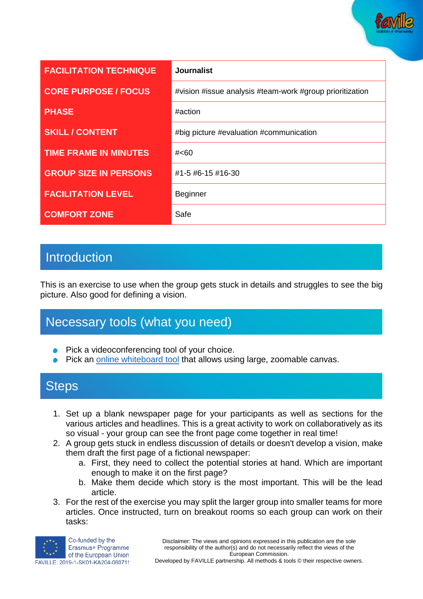

| <b>FACILITATION TECHNIQUE</b> | <b>Journalist</b>                                        |
|-------------------------------|----------------------------------------------------------|
| <b>CORE PURPOSE / FOCUS</b>   | #vision #issue analysis #team-work #group prioritization |
| <b>PHASE</b>                  | #action                                                  |
| <b>SKILL / CONTENT</b>        | #big picture #evaluation #communication                  |
| <b>TIME FRAME IN MINUTES</b>  | # <sub>60</sub>                                          |
| <b>GROUP SIZE IN PERSONS</b>  | #1-5 #6-15 #16-30                                        |
| <b>FACILITATION LEVEL</b>     | <b>Beginner</b>                                          |
| <b>COMFORT ZONE</b>           | Safe                                                     |

# **Introduction**

This is an exercise to use when the group gets stuck in details and struggles to see the big picture. Also good for defining a vision.

# Necessary tools (what you need)

- Pick a videoconferencing tool of your choice.
- Pick an [online whiteboard tool](https://www.sessionlab.com/blog/online-tools-for-workshops/#online-whiteboard-tools) that allows using large, zoomable canvas.

### **Steps**

- 1. Set up a blank newspaper page for your participants as well as sections for the various articles and headlines. This is a great activity to work on collaboratively as its so visual - your group can see the front page come together in real time!
- 2. A group gets stuck in endless discussion of details or doesn't develop a vision, make them draft the first page of a fictional newspaper:
	- a. First, they need to collect the potential stories at hand. Which are important enough to make it on the first page?
	- b. Make them decide which story is the most important. This will be the lead article.
- 3. For the rest of the exercise you may split the larger group into smaller teams for more articles. Once instructed, turn on breakout rooms so each group can work on their tasks: